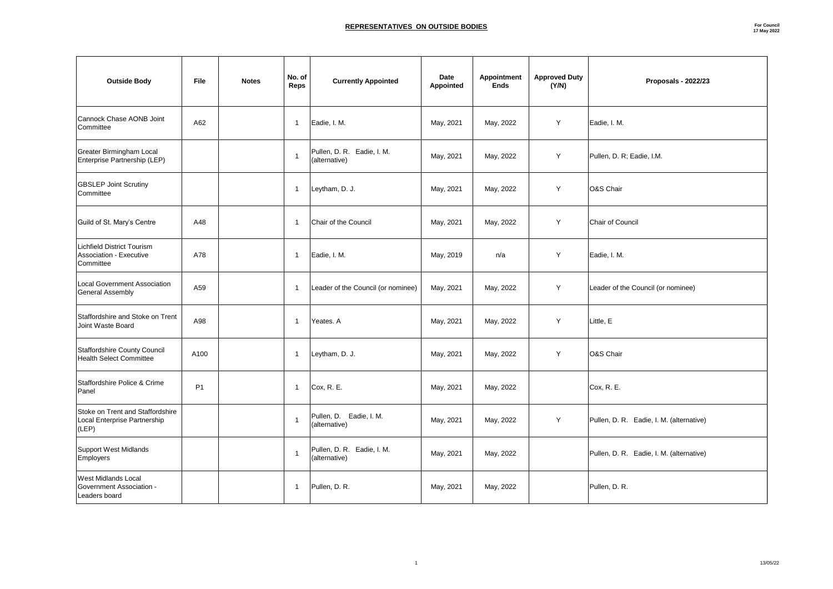| <b>Outside Body</b>                                                        | <b>File</b> | <b>Notes</b> | No. of<br><b>Reps</b> | <b>Currently Appointed</b>                  | <b>Date</b><br><b>Appointed</b> | <b>Appointment</b><br><b>Ends</b> | <b>Approved Duty</b><br>(Y/N) | <b>Proposals - 2022/23</b>               |
|----------------------------------------------------------------------------|-------------|--------------|-----------------------|---------------------------------------------|---------------------------------|-----------------------------------|-------------------------------|------------------------------------------|
| Cannock Chase AONB Joint<br>Committee                                      | A62         |              |                       | Eadie, I. M.                                | May, 2021                       | May, 2022                         | Y                             | Eadie, I. M.                             |
| <b>Greater Birmingham Local</b><br>Enterprise Partnership (LEP)            |             |              |                       | Pullen, D. R. Eadie, I. M.<br>(alternative) | May, 2021                       | May, 2022                         | Y                             | Pullen, D. R; Eadie, I.M.                |
| <b>GBSLEP Joint Scrutiny</b><br>Committee                                  |             |              |                       | Leytham, D. J.                              | May, 2021                       | May, 2022                         | Y                             | O&S Chair                                |
| Guild of St. Mary's Centre                                                 | A48         |              |                       | <b>Chair of the Council</b>                 | May, 2021                       | May, 2022                         | Y                             | <b>Chair of Council</b>                  |
| Lichfield District Tourism<br>Association - Executive<br>Committee         | A78         |              |                       | Eadie, I. M.                                | May, 2019                       | n/a                               | Y                             | Eadie, I. M.                             |
| <b>Local Government Association</b><br>General Assembly                    | A59         |              |                       | Leader of the Council (or nominee)          | May, 2021                       | May, 2022                         | Y                             | Leader of the Council (or nominee)       |
| Staffordshire and Stoke on Trent<br>Joint Waste Board                      | A98         |              |                       | Yeates. A                                   | May, 2021                       | May, 2022                         | Y                             | Little, E                                |
| Staffordshire County Council<br><b>Health Select Committee</b>             | A100        |              |                       | Leytham, D. J.                              | May, 2021                       | May, 2022                         | Y                             | O&S Chair                                |
| Staffordshire Police & Crime<br>Panel                                      | <b>P1</b>   |              |                       | $ C$ ox, R. E.                              | May, 2021                       | May, 2022                         |                               | $ C$ ox, R. E.                           |
| Stoke on Trent and Staffordshire<br>Local Enterprise Partnership<br> (LEP) |             |              |                       | Pullen, D. Eadie, I. M.<br>(alternative)    | May, 2021                       | May, 2022                         | Y                             | Pullen, D. R. Eadie, I. M. (alternative) |
| Support West Midlands<br><b>Employers</b>                                  |             |              |                       | Pullen, D. R. Eadie, I. M.<br>(alternative) | May, 2021                       | May, 2022                         |                               | Pullen, D. R. Eadie, I. M. (alternative) |
| <b>West Midlands Local</b><br>Government Association -<br>Leaders board    |             |              |                       | Pullen, D. R.                               | May, 2021                       | May, 2022                         |                               | Pullen, D. R.                            |